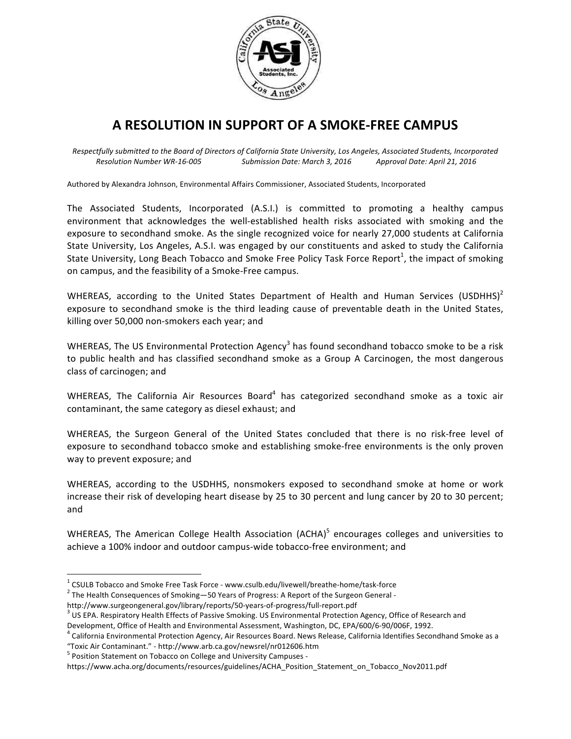

## **A RESOLUTION IN SUPPORT OF A SMOKE-FREE CAMPUS**

Respectfully submitted to the Board of Directors of California State University, Los Angeles, Associated Students, Incorporated *Resolution Number WR-16-005 Submission Date: March 3, 2016 Approval Date: April 21, 2016*

Authored by Alexandra Johnson, Environmental Affairs Commissioner, Associated Students, Incorporated

The Associated Students, Incorporated (A.S.I.) is committed to promoting a healthy campus environment that acknowledges the well-established health risks associated with smoking and the exposure to secondhand smoke. As the single recognized voice for nearly 27,000 students at California State University, Los Angeles, A.S.I. was engaged by our constituents and asked to study the California State University, Long Beach Tobacco and Smoke Free Policy Task Force Report<sup>1</sup>, the impact of smoking on campus, and the feasibility of a Smoke-Free campus.

WHEREAS, according to the United States Department of Health and Human Services (USDHHS)<sup>2</sup> exposure to secondhand smoke is the third leading cause of preventable death in the United States, killing over 50,000 non-smokers each year; and

WHEREAS, The US Environmental Protection Agency<sup>3</sup> has found secondhand tobacco smoke to be a risk to public health and has classified secondhand smoke as a Group A Carcinogen, the most dangerous class of carcinogen; and

WHEREAS, The California Air Resources Board<sup>4</sup> has categorized secondhand smoke as a toxic air contaminant, the same category as diesel exhaust; and

WHEREAS, the Surgeon General of the United States concluded that there is no risk-free level of exposure to secondhand tobacco smoke and establishing smoke-free environments is the only proven way to prevent exposure; and

WHEREAS, according to the USDHHS, nonsmokers exposed to secondhand smoke at home or work increase their risk of developing heart disease by 25 to 30 percent and lung cancer by 20 to 30 percent; and

WHEREAS, The American College Health Association (ACHA)<sup>5</sup> encourages colleges and universities to achieve a 100% indoor and outdoor campus-wide tobacco-free environment; and

<sup>&</sup>lt;sup>1</sup> CSULB Tobacco and Smoke Free Task Force - www.csulb.edu/livewell/breathe-home/task-force  $2$  The Health Consequences of Smoking—50 Years of Progress: A Report of the Surgeon General -

http://www.surgeongeneral.gov/library/reports/50-years-of-progress/full-report.pdf<br><sup>3</sup> US EPA. Respiratory Health Effects of Passive Smoking. US Environmental Protection Agency, Office of Research and Development, Office of Health and Environmental Assessment, Washington, DC, EPA/600/6-90/006F, 1992.<br><sup>4</sup> California Environmental Protection Agency, Air Resources Board. News Release, California Identifies Secondhand Smoke

<sup>&</sup>quot;Toxic Air Contaminant." - http://www.arb.ca.gov/newsrel/nr012606.htm  $^5$  Position Statement on Tobacco on College and University Campuses -

https://www.acha.org/documents/resources/guidelines/ACHA\_Position\_Statement\_on\_Tobacco\_Nov2011.pdf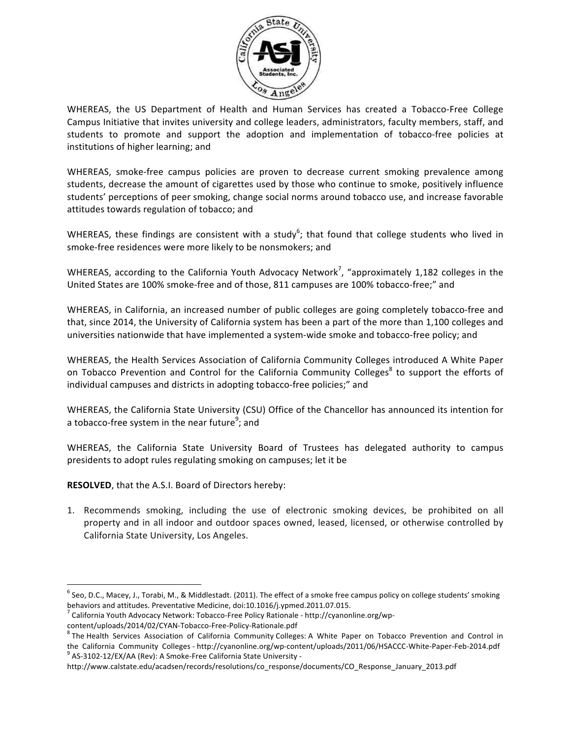

WHEREAS, the US Department of Health and Human Services has created a Tobacco-Free College Campus Initiative that invites university and college leaders, administrators, faculty members, staff, and students to promote and support the adoption and implementation of tobacco-free policies at institutions of higher learning; and

WHEREAS, smoke-free campus policies are proven to decrease current smoking prevalence among students, decrease the amount of cigarettes used by those who continue to smoke, positively influence students' perceptions of peer smoking, change social norms around tobacco use, and increase favorable attitudes towards regulation of tobacco; and

WHEREAS, these findings are consistent with a study<sup>6</sup>; that found that college students who lived in smoke-free residences were more likely to be nonsmokers; and

WHEREAS, according to the California Youth Advocacy Network<sup>7</sup>, "approximately 1,182 colleges in the United States are 100% smoke-free and of those, 811 campuses are 100% tobacco-free;" and

WHEREAS, in California, an increased number of public colleges are going completely tobacco-free and that, since 2014, the University of California system has been a part of the more than 1,100 colleges and universities nationwide that have implemented a system-wide smoke and tobacco-free policy; and

WHEREAS, the Health Services Association of California Community Colleges introduced A White Paper on Tobacco Prevention and Control for the California Community Colleges<sup>8</sup> to support the efforts of individual campuses and districts in adopting tobacco-free policies;" and

WHEREAS, the California State University (CSU) Office of the Chancellor has announced its intention for a tobacco-free system in the near future<sup>9</sup>; and

WHEREAS, the California State University Board of Trustees has delegated authority to campus presidents to adopt rules regulating smoking on campuses; let it be

**RESOLVED**, that the A.S.I. Board of Directors hereby:

1. Recommends smoking, including the use of electronic smoking devices, be prohibited on all property and in all indoor and outdoor spaces owned, leased, licensed, or otherwise controlled by California State University, Los Angeles.

 $6$  Seo, D.C., Macey, J., Torabi, M., & Middlestadt. (2011). The effect of a smoke free campus policy on college students' smoking behaviors and attitudes. Preventative Medicine, doi:10.1016/j.ypmed.2011.07.015.

 $^7$  California Youth Advocacy Network: Tobacco-Free Policy Rationale - http://cyanonline.org/wp-

content/uploads/2014/02/CYAN-Tobacco-Free-Policy-Rationale.pdf<br><sup>8</sup> The Health Services Association of California Community Colleges: A White Paper on Tobacco Prevention and Control in the California Community Colleges - http://cyanonline.org/wp-content/uploads/2011/06/HSACCC-White-Paper-Feb-2014.pdf<br><sup>9</sup> AS-3102-12/EX/AA (Rev): A Smoke-Free California State University -

http://www.calstate.edu/acadsen/records/resolutions/co\_response/documents/CO\_Response\_January\_2013.pdf